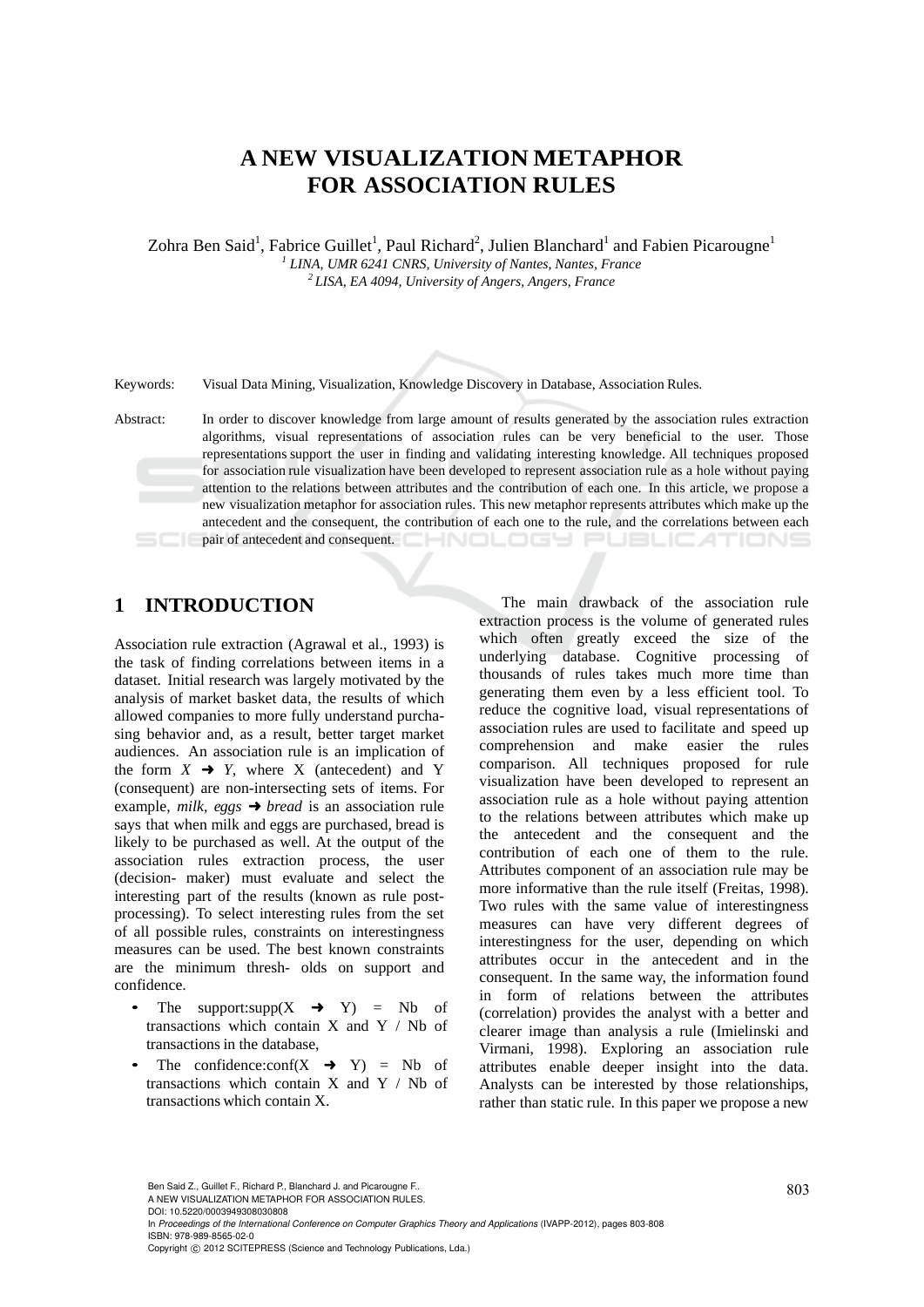## **A NEW VISUALIZATION METAPHOR FOR ASSOCIATION RULES**

Zohra Ben Said<sup>1</sup>, Fabrice Guillet<sup>1</sup>, Paul Richard<sup>2</sup>, Julien Blanchard<sup>1</sup> and Fabien Picarougne<sup>1</sup> <sup>1</sup> LINA, UMR 6241 CNRS, University of Nantes, Nantes, France <sup>2</sup> LISA, EA 4094, University of Angers, Angers, France

Keywords: Visual Data Mining, Visualization, Knowledge Discovery in Database, Association Rules.

Abstract: In order to discover knowledge from large amount of results generated by the association rules extraction algorithms, visual representations of association rules can be very beneficial to the user. Those representations support the user in finding and validating interesting knowledge. All techniques proposed for association rule visualization have been developed to represent association rule as a hole without paying attention to the relations between attributes and the contribution of each one. In this article, we propose a new visualization metaphor for association rules. This new metaphor represents attributes which make up the antecedent and the consequent, the contribution of each one to the rule, and the correlations between each pair of antecedent and consequent. JBLIC ATION!

## **1 INTRODUCTION**

Association rule extraction (Agrawal et al., 1993) is the task of finding correlations between items in a dataset. Initial research was largely motivated by the analysis of market basket data, the results of which allowed companies to more fully understand purchasing behavior and, as a result, better target market audiences. An association rule is an implication of the form  $X \rightarrow Y$ , where X (antecedent) and Y (consequent) are non-intersecting sets of items. For example, *milk, eggs* ➜ *bread* is an association rule says that when milk and eggs are purchased, bread is likely to be purchased as well. At the output of the association rules extraction process, the user (decision- maker) must evaluate and select the interesting part of the results (known as rule postprocessing). To select interesting rules from the set of all possible rules, constraints on interestingness measures can be used. The best known constraints are the minimum thresh- olds on support and confidence.

- The support:supp $(X \rightarrow Y) = Nb$  of transactions which contain X and Y / Nb of transactions in the database,
- The confidence: $conf(X \rightarrow Y) = Nb$  of transactions which contain  $X$  and  $Y / Nb$  of transactions which contain X.

The main drawback of the association rule extraction process is the volume of generated rules which often greatly exceed the size of the underlying database. Cognitive processing of thousands of rules takes much more time than generating them even by a less efficient tool. To reduce the cognitive load, visual representations of association rules are used to facilitate and speed up comprehension and make easier the rules comparison. All techniques proposed for rule visualization have been developed to represent an association rule as a hole without paying attention to the relations between attributes which make up the antecedent and the consequent and the contribution of each one of them to the rule. Attributes component of an association rule may be more informative than the rule itself (Freitas, 1998). Two rules with the same value of interestingness measures can have very different degrees of interestingness for the user, depending on which attributes occur in the antecedent and in the consequent. In the same way, the information found in form of relations between the attributes (correlation) provides the analyst with a better and clearer image than analysis a rule (Imielinski and Virmani, 1998). Exploring an association rule attributes enable deeper insight into the data. Analysts can be interested by those relationships, rather than static rule. In this paper we propose a new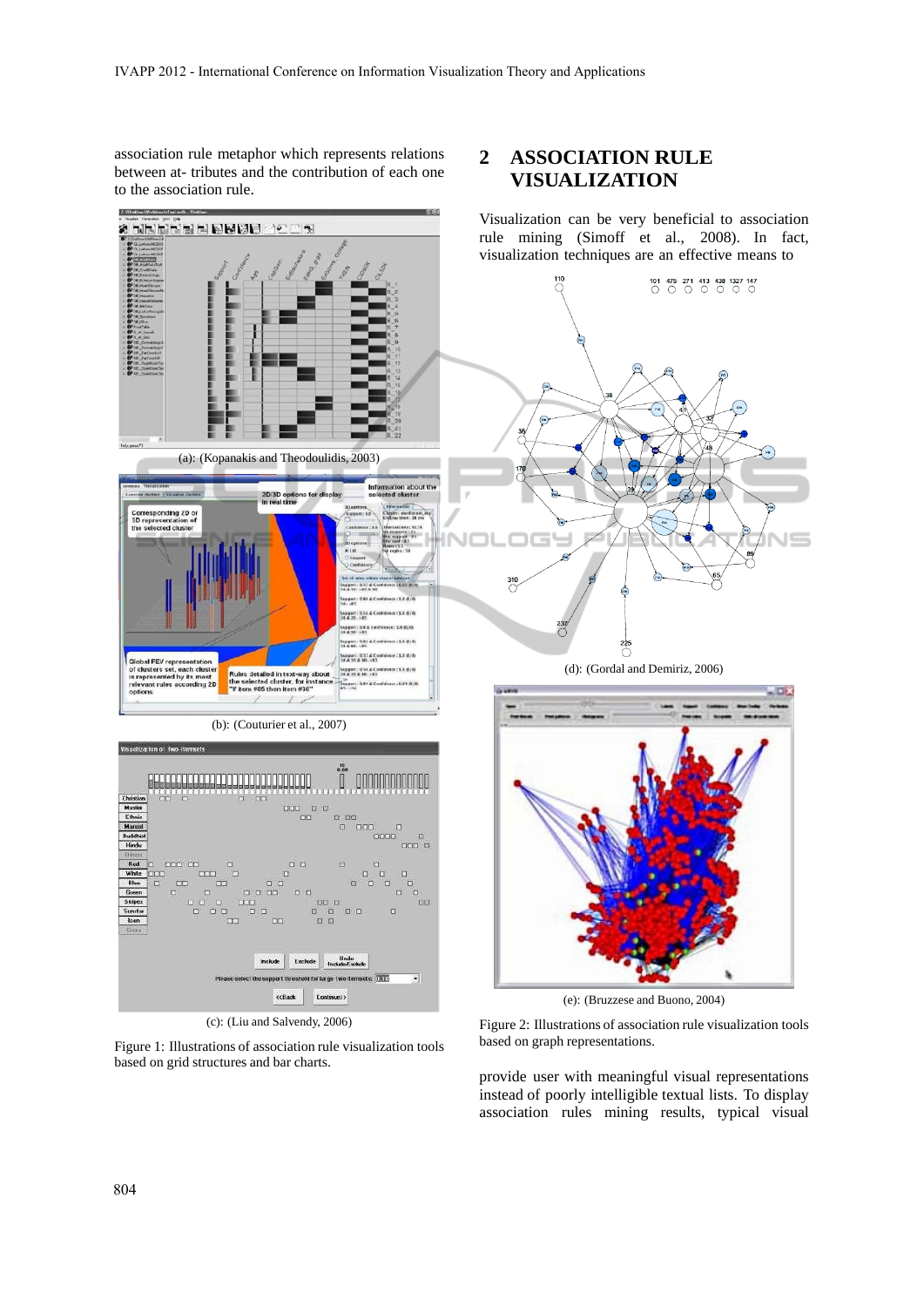association rule metaphor which represents relations between at- tributes and the contribution of each one to the association rule.

 $\Delta \theta$ 

 $\overline{a}$ 

**DE E BRO** 

alis in

## **2 ASSOCIATION RULE VISUALIZATION**

Visualization can be very beneficial to association rule mining (Simoff et al., 2008). In fact, visualization techniques are an effective means to



(c): (Liu and Salvendy, 2006)

Figure 1: Illustrations of association rule visualization tools based on grid structures and bar charts.

Figure 2: Illustrations of association rule visualization tools based on graph representations.

provide user with meaningful visual representations instead of poorly intelligible textual lists. To display association rules mining results, typical visual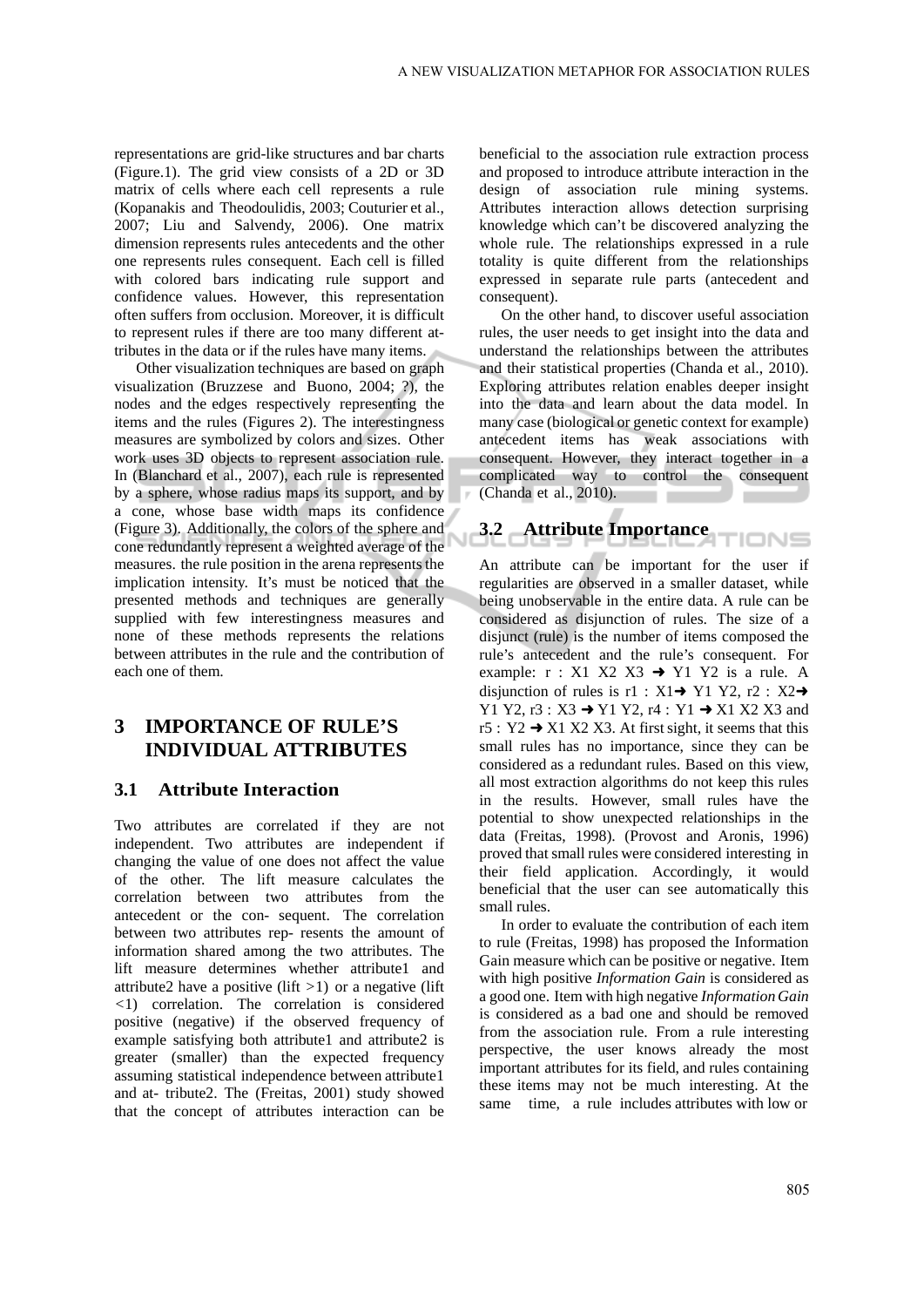representations are grid-like structures and bar charts (Figure.1). The grid view consists of a 2D or 3D matrix of cells where each cell represents a rule (Kopanakis and Theodoulidis, 2003; Couturier et al., 2007; Liu and Salvendy, 2006). One matrix dimension represents rules antecedents and the other one represents rules consequent. Each cell is filled with colored bars indicating rule support and confidence values. However, this representation often suffers from occlusion. Moreover, it is difficult to represent rules if there are too many different attributes in the data or if the rules have many items.

Other visualization techniques are based on graph visualization (Bruzzese and Buono, 2004; ?), the nodes and the edges respectively representing the items and the rules (Figures 2). The interestingness measures are symbolized by colors and sizes. Other work uses 3D objects to represent association rule. In (Blanchard et al., 2007), each rule is represented by a sphere, whose radius maps its support, and by a cone, whose base width maps its confidence (Figure 3). Additionally, the colors of the sphere and cone redundantly represent a weighted average of the measures. the rule position in the arena represents the implication intensity. It's must be noticed that the presented methods and techniques are generally supplied with few interestingness measures and none of these methods represents the relations between attributes in the rule and the contribution of each one of them.

## **3 IMPORTANCE OF RULE'S INDIVIDUAL ATTRIBUTES**

#### **3.1 Attribute Interaction**

Two attributes are correlated if they are not independent. Two attributes are independent if changing the value of one does not affect the value of the other. The lift measure calculates the correlation between two attributes from the antecedent or the con- sequent. The correlation between two attributes rep- resents the amount of information shared among the two attributes. The lift measure determines whether attribute1 and attribute2 have a positive (lift *>*1) or a negative (lift *<*1) correlation. The correlation is considered positive (negative) if the observed frequency of example satisfying both attribute1 and attribute2 is greater (smaller) than the expected frequency assuming statistical independence between attribute1 and at- tribute2. The (Freitas, 2001) study showed that the concept of attributes interaction can be

beneficial to the association rule extraction process and proposed to introduce attribute interaction in the design of association rule mining systems. Attributes interaction allows detection surprising knowledge which can't be discovered analyzing the whole rule. The relationships expressed in a rule totality is quite different from the relationships expressed in separate rule parts (antecedent and consequent).

On the other hand, to discover useful association rules, the user needs to get insight into the data and understand the relationships between the attributes and their statistical properties (Chanda et al., 2010). Exploring attributes relation enables deeper insight into the data and learn about the data model. In many case (biological or genetic context for example) antecedent items has weak associations with consequent. However, they interact together in a complicated way to control the consequent (Chanda et al., 2010).  $\sim$ 

# **3.2 Attribute Importance**

An attribute can be important for the user if regularities are observed in a smaller dataset, while being unobservable in the entire data. A rule can be considered as disjunction of rules. The size of a disjunct (rule) is the number of items composed the rule's antecedent and the rule's consequent. For example:  $r : X1 X2 X3 \rightarrow Y1 Y2$  is a rule. A disjunction of rules is r1 :  $X1 \rightarrow Y1$  Y2, r2 :  $X2 \rightarrow$ Y1 Y2, r3 : X3  $\rightarrow$  Y1 Y2, r4 : Y1  $\rightarrow$  X1 X2 X3 and r5 : Y2  $\rightarrow$  X1 X2 X3. At first sight, it seems that this small rules has no importance, since they can be considered as a redundant rules. Based on this view, all most extraction algorithms do not keep this rules in the results. However, small rules have the potential to show unexpected relationships in the data (Freitas, 1998). (Provost and Aronis, 1996) proved that small rules were considered interesting in their field application. Accordingly, it would beneficial that the user can see automatically this small rules.

In order to evaluate the contribution of each item to rule (Freitas, 1998) has proposed the Information Gain measure which can be positive or negative. Item with high positive *Information Gain* is considered as a good one. Item with high negative *Information Gain*  is considered as a bad one and should be removed from the association rule. From a rule interesting perspective, the user knows already the most important attributes for its field, and rules containing these items may not be much interesting. At the same time, a rule includes attributes with low or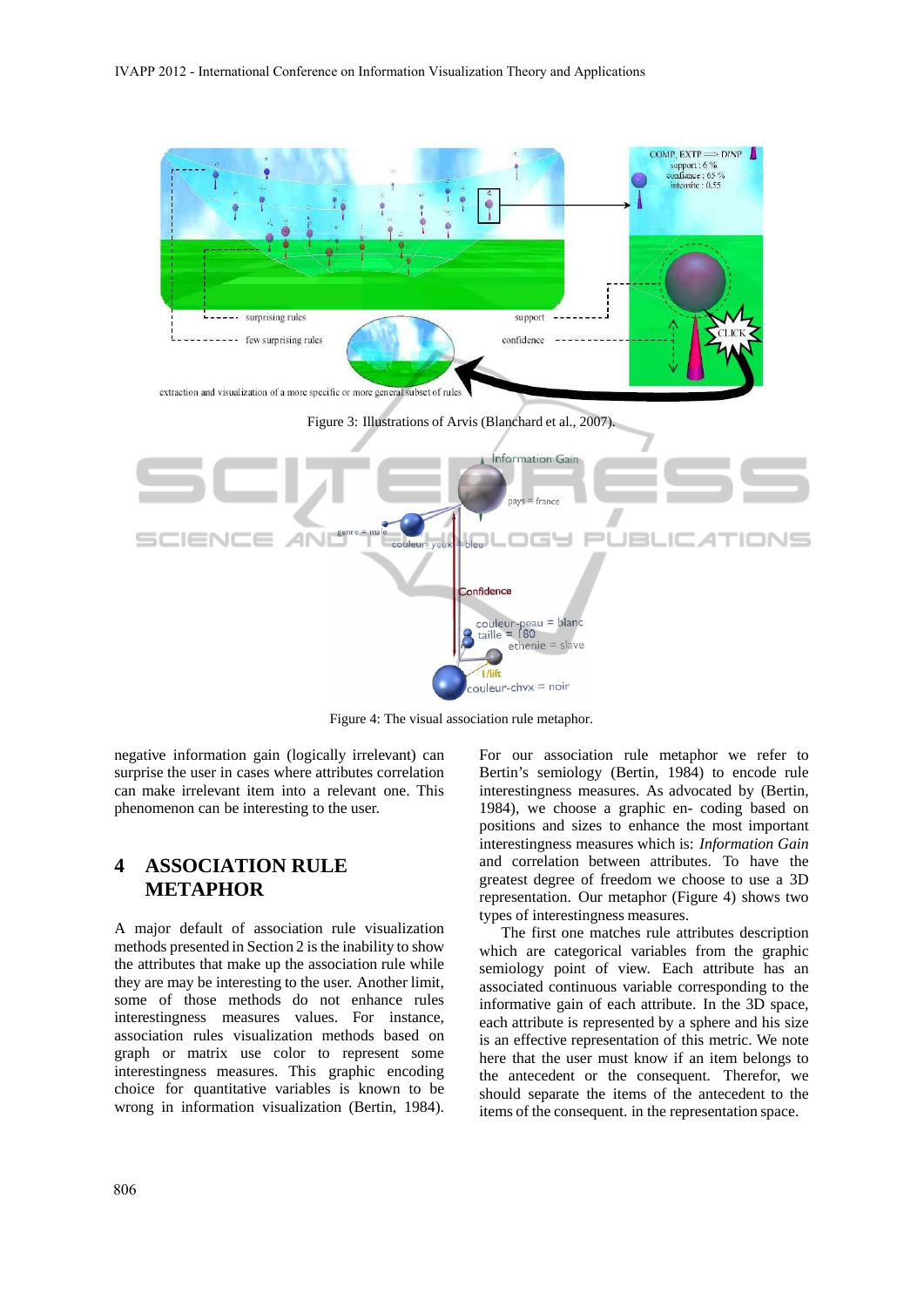

Figure 4: The visual association rule metaphor.

negative information gain (logically irrelevant) can surprise the user in cases where attributes correlation can make irrelevant item into a relevant one. This phenomenon can be interesting to the user.

## **4 ASSOCIATION RULE METAPHOR**

A major default of association rule visualization methods presented in Section 2 is the inability to show the attributes that make up the association rule while they are may be interesting to the user. Another limit, some of those methods do not enhance rules interestingness measures values. For instance, association rules visualization methods based on graph or matrix use color to represent some interestingness measures. This graphic encoding choice for quantitative variables is known to be wrong in information visualization (Bertin, 1984).

For our association rule metaphor we refer to Bertin's semiology (Bertin, 1984) to encode rule interestingness measures. As advocated by (Bertin, 1984), we choose a graphic en- coding based on positions and sizes to enhance the most important interestingness measures which is: *Information Gain*  and correlation between attributes. To have the greatest degree of freedom we choose to use a 3D representation. Our metaphor (Figure 4) shows two types of interestingness measures.

The first one matches rule attributes description which are categorical variables from the graphic semiology point of view. Each attribute has an associated continuous variable corresponding to the informative gain of each attribute. In the 3D space, each attribute is represented by a sphere and his size is an effective representation of this metric. We note here that the user must know if an item belongs to the antecedent or the consequent. Therefor, we should separate the items of the antecedent to the items of the consequent. in the representation space.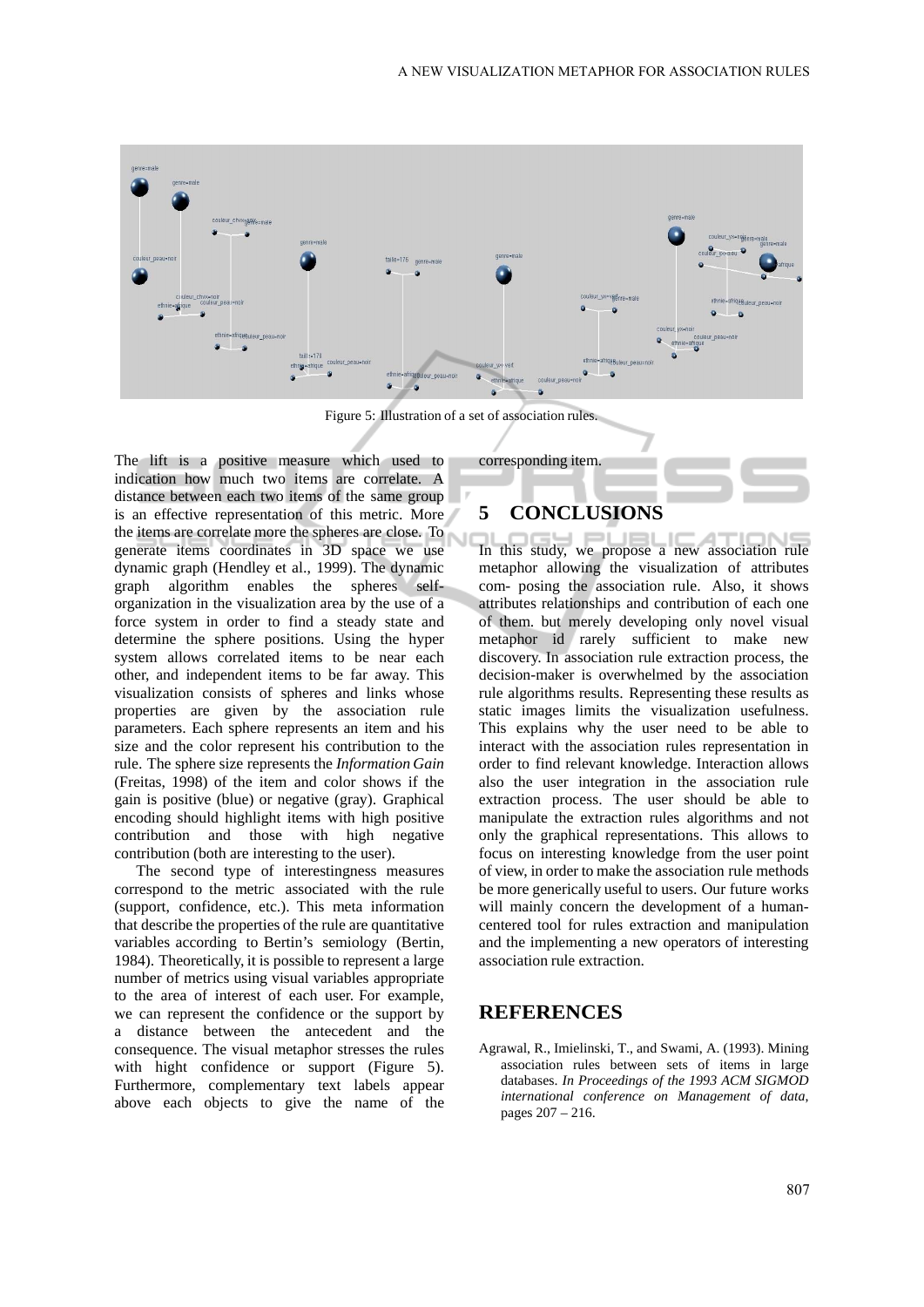

Figure 5: Illustration of a set of association rules.

The lift is a positive measure which used to indication how much two items are correlate. A distance between each two items of the same group is an effective representation of this metric. More the items are correlate more the spheres are close. To generate items coordinates in 3D space we use dynamic graph (Hendley et al., 1999). The dynamic graph algorithm enables the spheres selforganization in the visualization area by the use of a force system in order to find a steady state and determine the sphere positions. Using the hyper system allows correlated items to be near each other, and independent items to be far away. This visualization consists of spheres and links whose properties are given by the association rule parameters. Each sphere represents an item and his size and the color represent his contribution to the rule. The sphere size represents the *Information Gain*  (Freitas, 1998) of the item and color shows if the gain is positive (blue) or negative (gray). Graphical encoding should highlight items with high positive contribution and those with high negative contribution (both are interesting to the user).

The second type of interestingness measures correspond to the metric associated with the rule (support, confidence, etc.). This meta information that describe the properties of the rule are quantitative variables according to Bertin's semiology (Bertin, 1984). Theoretically, it is possible to represent a large number of metrics using visual variables appropriate to the area of interest of each user. For example, we can represent the confidence or the support by a distance between the antecedent and the consequence. The visual metaphor stresses the rules with hight confidence or support (Figure 5). Furthermore, complementary text labels appear above each objects to give the name of the

# **5 CONCLUSIONS**

corresponding item.

In this study, we propose a new association rule metaphor allowing the visualization of attributes com- posing the association rule. Also, it shows attributes relationships and contribution of each one of them. but merely developing only novel visual metaphor id rarely sufficient to make new discovery. In association rule extraction process, the decision-maker is overwhelmed by the association rule algorithms results. Representing these results as static images limits the visualization usefulness. This explains why the user need to be able to interact with the association rules representation in order to find relevant knowledge. Interaction allows also the user integration in the association rule extraction process. The user should be able to manipulate the extraction rules algorithms and not only the graphical representations. This allows to focus on interesting knowledge from the user point of view, in order to make the association rule methods be more generically useful to users. Our future works will mainly concern the development of a humancentered tool for rules extraction and manipulation and the implementing a new operators of interesting association rule extraction.

#### **REFERENCES**

Agrawal, R., Imielinski, T., and Swami, A. (1993). Mining association rules between sets of items in large databases. *In Proceedings of the 1993 ACM SIGMOD international conference on Management of data*, pages 207 – 216.